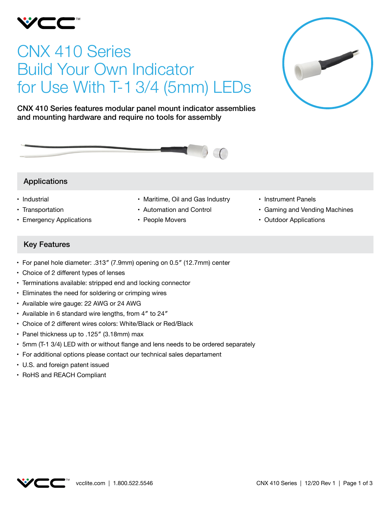

# CNX 410 Series Build Your Own Indicator for Use With T-1 3/4 (5mm) LEDs



CNX 410 Series features modular panel mount indicator assemblies and mounting hardware and require no tools for assembly



## Applications

- Industrial
- Transportation
- • Emergency Applications
- • Maritime, Oil and Gas Industry
- • Automation and Control
- People Movers
- • Instrument Panels
- Gaming and Vending Machines
- • Outdoor Applications

# Key Features

- • For panel hole diameter: .313″ (7.9mm) opening on 0.5″ (12.7mm) center
- Choice of 2 different types of lenses
- Terminations available: stripped end and locking connector
- Eliminates the need for soldering or crimping wires
- Available wire gauge: 22 AWG or 24 AWG
- Available in 6 standard wire lengths, from 4" to 24"
- • Choice of 2 different wires colors: White/Black or Red/Black
- • Panel thickness up to .125″ (3.18mm) max
- • 5mm (T-1 3/4) LED with or without flange and lens needs to be ordered separately
- For additional options please contact our technical sales departament
- • U.S. and foreign patent issued
- • RoHS and REACH Compliant

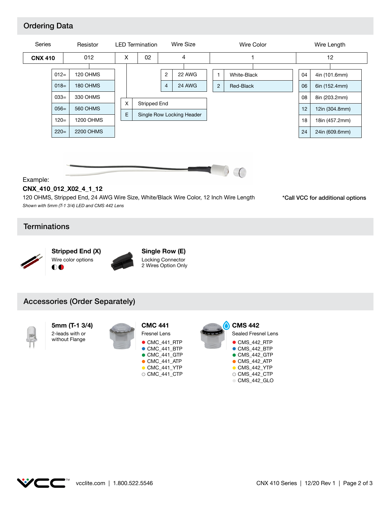# Ordering Data





## Example:

### **CNX\_410\_012\_X02\_4\_1\_12**

*Shown with 5mm (T-1 3/4) LED and CMS 442 Lens* 120 OHMS, Stripped End, 24 AWG Wire Size, White/Black Wire Color, 12 Inch Wire Length \*Call VCC for additional options

## **Terminations**





**Single Row (E)** Locking Connector 2 Wires Option Only

## Accessories (Order Separately)



**5mm (T-1 3/4)** 2-leads with or without Flange